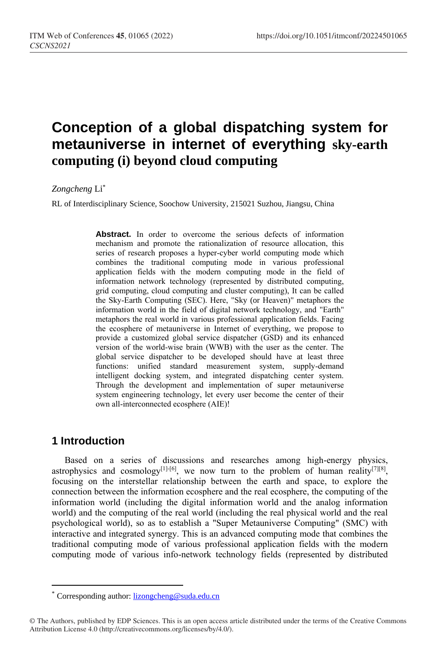# **Conception of a global dispatching system for metauniverse in internet of everything sky-earth computing (i) beyond cloud computing**

#### *Zongcheng* Li\*

RL of Interdisciplinary Science, Soochow University, 215021 Suzhou, Jiangsu, China

**Abstract.** In order to overcome the serious defects of information mechanism and promote the rationalization of resource allocation, this series of research proposes a hyper-cyber world computing mode which combines the traditional computing mode in various professional application fields with the modern computing mode in the field of information network technology (represented by distributed computing, grid computing, cloud computing and cluster computing), It can be called the Sky-Earth Computing (SEC). Here, "Sky (or Heaven)" metaphors the information world in the field of digital network technology, and "Earth" metaphors the real world in various professional application fields. Facing the ecosphere of metauniverse in Internet of everything, we propose to provide a customized global service dispatcher (GSD) and its enhanced version of the world-wise brain (WWB) with the user as the center. The global service dispatcher to be developed should have at least three functions: unified standard measurement system, supply-demand intelligent docking system, and integrated dispatching center system. Through the development and implementation of super metauniverse system engineering technology, let every user become the center of their own all-interconnected ecosphere (AIE)!

# **1 Introduction**

 $\overline{a}$ 

Based on a series of discussions and researches among high-energy physics, astrophysics and cosmology<sup>[1]-[6]</sup>, we now turn to the problem of human reality<sup>[7][8]</sup>, focusing on the interstellar relationship between the earth and space, to explore the connection between the information ecosphere and the real ecosphere, the computing of the information world (including the digital information world and the analog information world) and the computing of the real world (including the real physical world and the real psychological world), so as to establish a "Super Metauniverse Computing" (SMC) with interactive and integrated synergy. This is an advanced computing mode that combines the traditional computing mode of various professional application fields with the modern computing mode of various info-network technology fields (represented by distributed

Corresponding author: [lizongcheng@suda.edu.cn](mailto:lizongcheng@suda.edu.cn)

<sup>©</sup> The Authors, published by EDP Sciences. This is an open access article distributed under the terms of the Creative Commons Attribution License 4.0 (http://creativecommons.org/licenses/by/4.0/).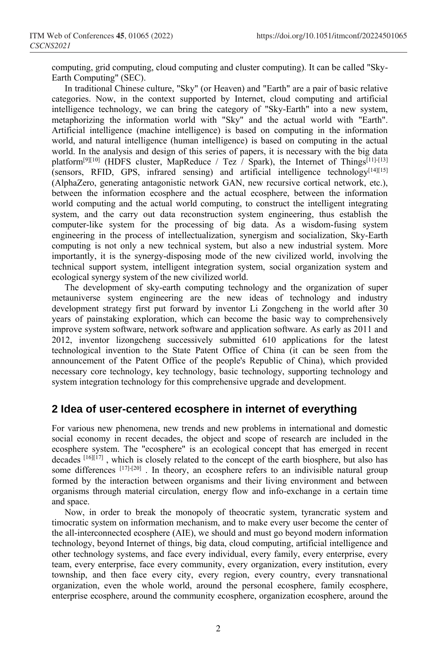computing, grid computing, cloud computing and cluster computing). It can be called "Sky-Earth Computing" (SEC).

In traditional Chinese culture, "Sky" (or Heaven) and "Earth" are a pair of basic relative categories. Now, in the context supported by Internet, cloud computing and artificial intelligence technology, we can bring the category of "Sky-Earth" into a new system, metaphorizing the information world with "Sky" and the actual world with "Earth". Artificial intelligence (machine intelligence) is based on computing in the information world, and natural intelligence (human intelligence) is based on computing in the actual world. In the analysis and design of this series of papers, it is necessary with the big data platform<sup>[9][10]</sup> (HDFS cluster, MapReduce / Tez / Spark), the Internet of Things<sup>[11]-[13]</sup> (sensors, RFID, GPS, infrared sensing) and artificial intelligence technology $[14][15]$ (AlphaZero, generating antagonistic network GAN, new recursive cortical network, etc.), between the information ecosphere and the actual ecosphere, between the information world computing and the actual world computing, to construct the intelligent integrating system, and the carry out data reconstruction system engineering, thus establish the computer-like system for the processing of big data. As a wisdom-fusing system engineering in the process of intellectualization, synergism and socialization, Sky-Earth computing is not only a new technical system, but also a new industrial system. More importantly, it is the synergy-disposing mode of the new civilized world, involving the technical support system, intelligent integration system, social organization system and ecological synergy system of the new civilized world.

The development of sky-earth computing technology and the organization of super metauniverse system engineering are the new ideas of technology and industry development strategy first put forward by inventor Li Zongcheng in the world after 30 years of painstaking exploration, which can become the basic way to comprehensively improve system software, network software and application software. As early as 2011 and 2012, inventor lizongcheng successively submitted 610 applications for the latest technological invention to the State Patent Office of China (it can be seen from the announcement of the Patent Office of the people's Republic of China), which provided necessary core technology, key technology, basic technology, supporting technology and system integration technology for this comprehensive upgrade and development.

# **2 Idea of user-centered ecosphere in internet of everything**

For various new phenomena, new trends and new problems in international and domestic social economy in recent decades, the object and scope of research are included in the ecosphere system. The "ecosphere" is an ecological concept that has emerged in recent decades  $[16][17]$ , which is closely related to the concept of the earth biosphere, but also has some differences [17]-[20]. In theory, an ecosphere refers to an indivisible natural group formed by the interaction between organisms and their living environment and between organisms through material circulation, energy flow and info-exchange in a certain time and space.

Now, in order to break the monopoly of theocratic system, tyrancratic system and timocratic system on information mechanism, and to make every user become the center of the all-interconnected ecosphere (AIE), we should and must go beyond modern information technology, beyond Internet of things, big data, cloud computing, artificial intelligence and other technology systems, and face every individual, every family, every enterprise, every team, every enterprise, face every community, every organization, every institution, every township, and then face every city, every region, every country, every transnational organization, even the whole world, around the personal ecosphere, family ecosphere, enterprise ecosphere, around the community ecosphere, organization ecosphere, around the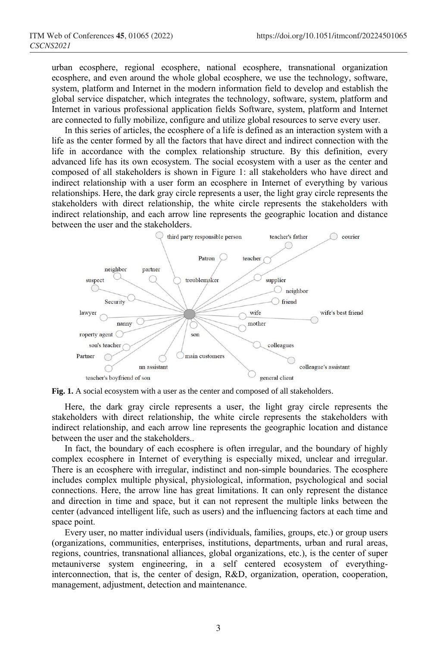urban ecosphere, regional ecosphere, national ecosphere, transnational organization ecosphere, and even around the whole global ecosphere, we use the technology, software, system, platform and Internet in the modern information field to develop and establish the global service dispatcher, which integrates the technology, software, system, platform and Internet in various professional application fields Software, system, platform and Internet are connected to fully mobilize, configure and utilize global resources to serve every user.

In this series of articles, the ecosphere of a life is defined as an interaction system with a life as the center formed by all the factors that have direct and indirect connection with the life in accordance with the complex relationship structure. By this definition, every advanced life has its own ecosystem. The social ecosystem with a user as the center and composed of all stakeholders is shown in Figure 1: all stakeholders who have direct and indirect relationship with a user form an ecosphere in Internet of everything by various relationships. Here, the dark gray circle represents a user, the light gray circle represents the stakeholders with direct relationship, the white circle represents the stakeholders with indirect relationship, and each arrow line represents the geographic location and distance between the user and the stakeholders.



Fig. 1. A social ecosystem with a user as the center and composed of all stakeholders.

Here, the dark gray circle represents a user, the light gray circle represents the stakeholders with direct relationship, the white circle represents the stakeholders with indirect relationship, and each arrow line represents the geographic location and distance between the user and the stakeholders..

In fact, the boundary of each ecosphere is often irregular, and the boundary of highly complex ecosphere in Internet of everything is especially mixed, unclear and irregular. There is an ecosphere with irregular, indistinct and non-simple boundaries. The ecosphere includes complex multiple physical, physiological, information, psychological and social connections. Here, the arrow line has great limitations. It can only represent the distance and direction in time and space, but it can not represent the multiple links between the center (advanced intelligent life, such as users) and the influencing factors at each time and space point.

Every user, no matter individual users (individuals, families, groups, etc.) or group users (organizations, communities, enterprises, institutions, departments, urban and rural areas, regions, countries, transnational alliances, global organizations, etc.), is the center of super metauniverse system engineering, in a self centered ecosystem of everythinginterconnection, that is, the center of design, R&D, organization, operation, cooperation, management, adjustment, detection and maintenance.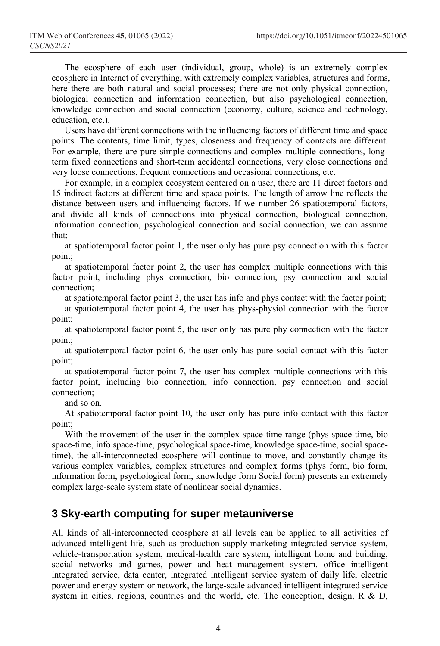The ecosphere of each user (individual, group, whole) is an extremely complex ecosphere in Internet of everything, with extremely complex variables, structures and forms, here there are both natural and social processes; there are not only physical connection, biological connection and information connection, but also psychological connection, knowledge connection and social connection (economy, culture, science and technology, education, etc.).

Users have different connections with the influencing factors of different time and space points. The contents, time limit, types, closeness and frequency of contacts are different. For example, there are pure simple connections and complex multiple connections, longterm fixed connections and short-term accidental connections, very close connections and very loose connections, frequent connections and occasional connections, etc.

For example, in a complex ecosystem centered on a user, there are 11 direct factors and 15 indirect factors at different time and space points. The length of arrow line reflects the distance between users and influencing factors. If we number 26 spatiotemporal factors, and divide all kinds of connections into physical connection, biological connection, information connection, psychological connection and social connection, we can assume that:

at spatiotemporal factor point 1, the user only has pure psy connection with this factor point;

at spatiotemporal factor point 2, the user has complex multiple connections with this factor point, including phys connection, bio connection, psy connection and social connection;

at spatiotemporal factor point 3, the user has info and phys contact with the factor point;

at spatiotemporal factor point 4, the user has phys-physiol connection with the factor point;

at spatiotemporal factor point 5, the user only has pure phy connection with the factor point;

at spatiotemporal factor point 6, the user only has pure social contact with this factor point;

at spatiotemporal factor point 7, the user has complex multiple connections with this factor point, including bio connection, info connection, psy connection and social connection;

and so on.

At spatiotemporal factor point 10, the user only has pure info contact with this factor point;

With the movement of the user in the complex space-time range (phys space-time, bio space-time, info space-time, psychological space-time, knowledge space-time, social spacetime), the all-interconnected ecosphere will continue to move, and constantly change its various complex variables, complex structures and complex forms (phys form, bio form, information form, psychological form, knowledge form Social form) presents an extremely complex large-scale system state of nonlinear social dynamics.

# **3 Sky-earth computing for super metauniverse**

All kinds of all-interconnected ecosphere at all levels can be applied to all activities of advanced intelligent life, such as production-supply-marketing integrated service system, vehicle-transportation system, medical-health care system, intelligent home and building, social networks and games, power and heat management system, office intelligent integrated service, data center, integrated intelligent service system of daily life, electric power and energy system or network, the large-scale advanced intelligent integrated service system in cities, regions, countries and the world, etc. The conception, design, R & D,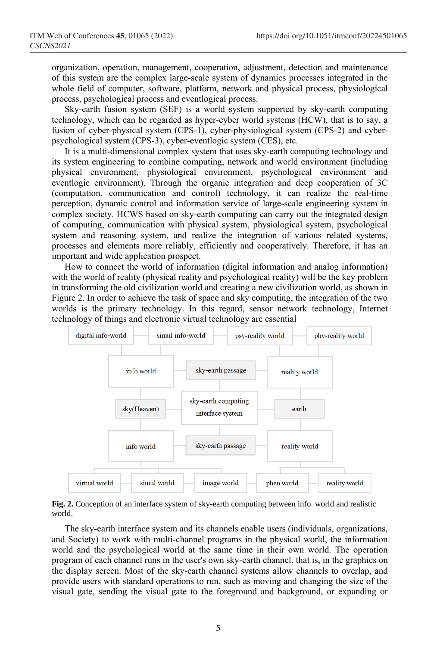organization, operation, management, cooperation, adjustment, detection and maintenance of this system are the complex large-scale system of dynamics processes integrated in the whole field of computer, software, platform, network and physical process, physiological process, psychological process and eventlogical process.

Sky-earth fusion system (SEF) is a world system supported by sky-earth computing technology, which can be regarded as hyper-cyber world systems (HCW), that is to say, a fusion of cyber-physical system (CPS-1), cyber-physiological system (CPS-2) and cyberpsychological system (CPS-3), cyber-eventlogic system (CES), etc.

It is a multi-dimensional complex system that uses sky-earth computing technology and its system engineering to combine computing, network and world environment (including physical environment, physiological environment, psychological environment and eventlogic environment). Through the organic integration and deep cooperation of 3C (computation, communication and control) technology, it can realize the real-time perception, dynamic control and information service of large-scale engineering system in complex society. HCWS based on sky-earth computing can carry out the integrated design of computing, communication with physical system, physiological system, psychological system and reasoning system, and realize the integration of various related systems, processes and elements more reliably, efficiently and cooperatively. Therefore, it has an important and wide application prospect.

How to connect the world of information (digital information and analog information) with the world of reality (physical reality and psychological reality) will be the key problem in transforming the old civilization world and creating a new civilization world, as shown in Figure 2. In order to achieve the task of space and sky computing, the integration of the two worlds is the primary technology. In this regard, sensor network technology, Internet technology of things and electronic virtual technology are essential



**Fig. 2.** Conception of an interface system of sky-earth computing between info. world and realistic world.

The sky-earth interface system and its channels enable users (individuals, organizations, and Society) to work with multi-channel programs in the physical world, the information world and the psychological world at the same time in their own world. The operation program of each channel runs in the user's own sky-earth channel, that is, in the graphics on the display screen. Most of the sky-earth channel systems allow channels to overlap, and provide users with standard operations to run, such as moving and changing the size of the visual gate, sending the visual gate to the foreground and background, or expanding or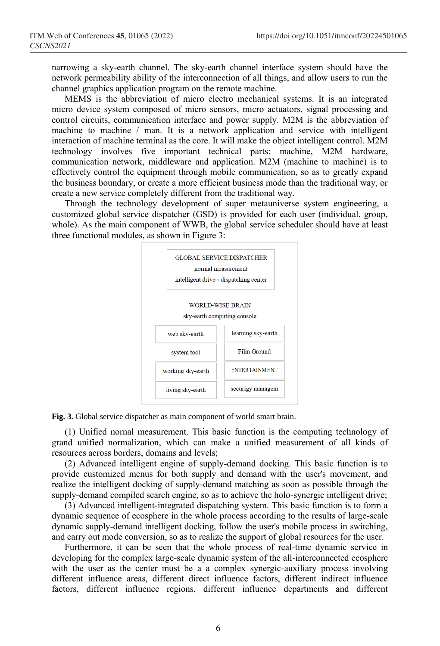narrowing a sky-earth channel. The sky-earth channel interface system should have the network permeability ability of the interconnection of all things, and allow users to run the channel graphics application program on the remote machine.

MEMS is the abbreviation of micro electro mechanical systems. It is an integrated micro device system composed of micro sensors, micro actuators, signal processing and control circuits, communication interface and power supply. M2M is the abbreviation of machine to machine / man. It is a network application and service with intelligent interaction of machine terminal as the core. It will make the object intelligent control. M2M technology involves five important technical parts: machine, M2M hardware, communication network, middleware and application. M2M (machine to machine) is to effectively control the equipment through mobile communication, so as to greatly expand the business boundary, or create a more efficient business mode than the traditional way, or create a new service completely different from the traditional way.

Through the technology development of super metauniverse system engineering, a customized global service dispatcher (GSD) is provided for each user (individual, group, whole). As the main component of WWB, the global service scheduler should have at least three functional modules, as shown in Figure 3:



**Fig. 3.** Global service dispatcher as main component of world smart brain.

(1) Unified nornal measurement. This basic function is the computing technology of grand unified normalization, which can make a unified measurement of all kinds of resources across borders, domains and levels;

(2) Advanced intelligent engine of supply-demand docking. This basic function is to provide customized menus for both supply and demand with the user's movement, and realize the intelligent docking of supply-demand matching as soon as possible through the supply-demand compiled search engine, so as to achieve the holo-synergic intelligent drive;

(3) Advanced intelligent-integrated dispatching system. This basic function is to form a dynamic sequence of ecosphere in the whole process according to the results of large-scale dynamic supply-demand intelligent docking, follow the user's mobile process in switching, and carry out mode conversion, so as to realize the support of global resources for the user.

Furthermore, it can be seen that the whole process of real-time dynamic service in developing for the complex large-scale dynamic system of the all-interconnected ecosphere with the user as the center must be a a complex synergic-auxiliary process involving different influence areas, different direct influence factors, different indirect influence factors, different influence regions, different influence departments and different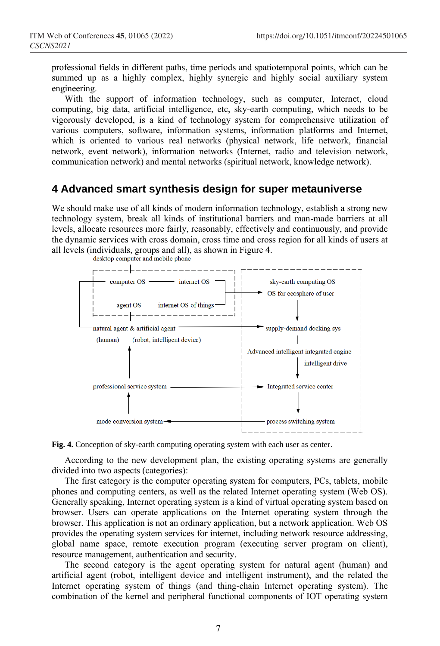professional fields in different paths, time periods and spatiotemporal points, which can be summed up as a highly complex, highly synergic and highly social auxiliary system engineering.

With the support of information technology, such as computer, Internet, cloud computing, big data, artificial intelligence, etc, sky-earth computing, which needs to be vigorously developed, is a kind of technology system for comprehensive utilization of various computers, software, information systems, information platforms and Internet, which is oriented to various real networks (physical network, life network, financial network, event network), information networks (Internet, radio and television network, communication network) and mental networks (spiritual network, knowledge network).

### **4 Advanced smart synthesis design for super metauniverse**

We should make use of all kinds of modern information technology, establish a strong new technology system, break all kinds of institutional barriers and man-made barriers at all levels, allocate resources more fairly, reasonably, effectively and continuously, and provide the dynamic services with cross domain, cross time and cross region for all kinds of users at all levels (individuals, groups and all), as shown in Figure 4.



**Fig. 4.** Conception of sky-earth computing operating system with each user as center.

According to the new development plan, the existing operating systems are generally divided into two aspects (categories):

The first category is the computer operating system for computers, PCs, tablets, mobile phones and computing centers, as well as the related Internet operating system (Web OS). Generally speaking, Internet operating system is a kind of virtual operating system based on browser. Users can operate applications on the Internet operating system through the browser. This application is not an ordinary application, but a network application. Web OS provides the operating system services for internet, including network resource addressing, global name space, remote execution program (executing server program on client), resource management, authentication and security.

The second category is the agent operating system for natural agent (human) and artificial agent (robot, intelligent device and intelligent instrument), and the related the Internet operating system of things (and thing-chain Internet operating system). The combination of the kernel and peripheral functional components of IOT operating system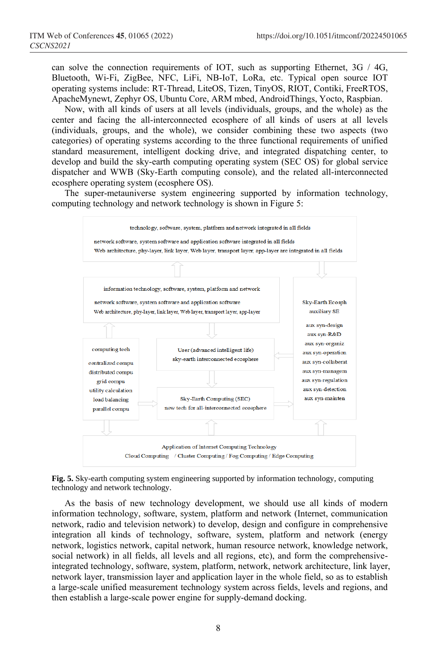can solve the connection requirements of IOT, such as supporting Ethernet,  $3G / 4G$ , Bluetooth, Wi-Fi, ZigBee, NFC, LiFi, NB-IoT, LoRa, etc. Typical open source IOT operating systems include: RT-Thread, LiteOS, Tizen, TinyOS, RIOT, Contiki, FreeRTOS, ApacheMynewt, Zephyr OS, Ubuntu Core, ARM mbed, AndroidThings, Yocto, Raspbian.

Now, with all kinds of users at all levels (individuals, groups, and the whole) as the center and facing the all-interconnected ecosphere of all kinds of users at all levels (individuals, groups, and the whole), we consider combining these two aspects (two categories) of operating systems according to the three functional requirements of unified standard measurement, intelligent docking drive, and integrated dispatching center, to develop and build the sky-earth computing operating system (SEC OS) for global service dispatcher and WWB (Sky-Earth computing console), and the related all-interconnected ecosphere operating system (ecosphere OS).

The super-metauniverse system engineering supported by information technology, computing technology and network technology is shown in Figure 5:



**Fig. 5.** Sky-earth computing system engineering supported by information technology, computing technology and network technology.

As the basis of new technology development, we should use all kinds of modern information technology, software, system, platform and network (Internet, communication network, radio and television network) to develop, design and configure in comprehensive integration all kinds of technology, software, system, platform and network (energy network, logistics network, capital network, human resource network, knowledge network, social network) in all fields, all levels and all regions, etc), and form the comprehensiveintegrated technology, software, system, platform, network, network architecture, link layer, network layer, transmission layer and application layer in the whole field, so as to establish a large-scale unified measurement technology system across fields, levels and regions, and then establish a large-scale power engine for supply-demand docking.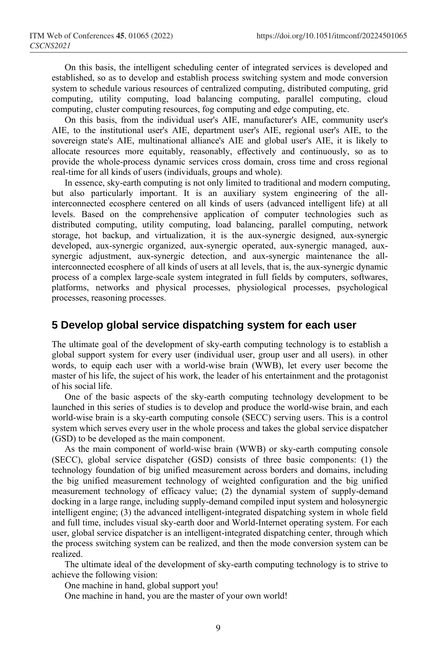On this basis, the intelligent scheduling center of integrated services is developed and established, so as to develop and establish process switching system and mode conversion system to schedule various resources of centralized computing, distributed computing, grid computing, utility computing, load balancing computing, parallel computing, cloud computing, cluster computing resources, fog computing and edge computing, etc.

On this basis, from the individual user's AIE, manufacturer's AIE, community user's AIE, to the institutional user's AIE, department user's AIE, regional user's AIE, to the sovereign state's AIE, multinational alliance's AIE and global user's AIE, it is likely to allocate resources more equitably, reasonably, effectively and continuously, so as to provide the whole-process dynamic services cross domain, cross time and cross regional real-time for all kinds of users (individuals, groups and whole).

In essence, sky-earth computing is not only limited to traditional and modern computing, but also particularly important. It is an auxiliary system engineering of the allinterconnected ecosphere centered on all kinds of users (advanced intelligent life) at all levels. Based on the comprehensive application of computer technologies such as distributed computing, utility computing, load balancing, parallel computing, network storage, hot backup, and virtualization, it is the aux-synergic designed, aux-synergic developed, aux-synergic organized, aux-synergic operated, aux-synergic managed, auxsynergic adjustment, aux-synergic detection, and aux-synergic maintenance the allinterconnected ecosphere of all kinds of users at all levels, that is, the aux-synergic dynamic process of a complex large-scale system integrated in full fields by computers, softwares, platforms, networks and physical processes, physiological processes, psychological processes, reasoning processes.

#### **5 Develop global service dispatching system for each user**

The ultimate goal of the development of sky-earth computing technology is to establish a global support system for every user (individual user, group user and all users). in other words, to equip each user with a world-wise brain (WWB), let every user become the master of his life, the suject of his work, the leader of his entertainment and the protagonist of his social life.

One of the basic aspects of the sky-earth computing technology development to be launched in this series of studies is to develop and produce the world-wise brain, and each world-wise brain is a sky-earth computing console (SECC) serving users. This is a control system which serves every user in the whole process and takes the global service dispatcher (GSD) to be developed as the main component.

As the main component of world-wise brain (WWB) or sky-earth computing console (SECC), global service dispatcher (GSD) consists of three basic components: (1) the technology foundation of big unified measurement across borders and domains, including the big unified measurement technology of weighted configuration and the big unified measurement technology of efficacy value; (2) the dynamial system of supply-demand docking in a large range, including supply-demand compiled input system and holosynergic intelligent engine; (3) the advanced intelligent-integrated dispatching system in whole field and full time, includes visual sky-earth door and World-Internet operating system. For each user, global service dispatcher is an intelligent-integrated dispatching center, through which the process switching system can be realized, and then the mode conversion system can be realized.

The ultimate ideal of the development of sky-earth computing technology is to strive to achieve the following vision:

One machine in hand, global support you!

One machine in hand, you are the master of your own world!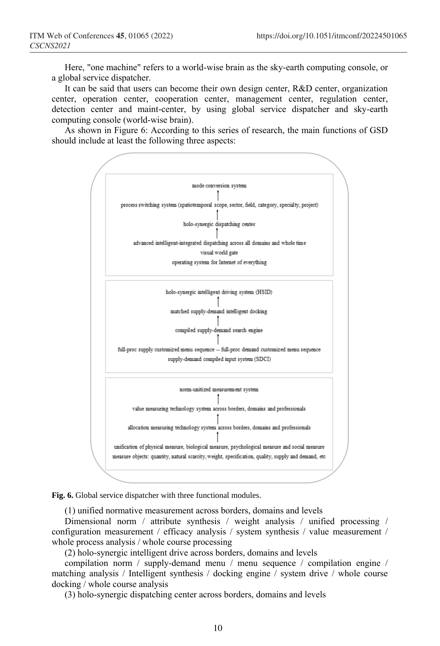Here, "one machine" refers to a world-wise brain as the sky-earth computing console, or a global service dispatcher.

It can be said that users can become their own design center, R&D center, organization center, operation center, cooperation center, management center, regulation center, detection center and maint-center, by using global service dispatcher and sky-earth computing console (world-wise brain).

As shown in Figure 6: According to this series of research, the main functions of GSD should include at least the following three aspects:





(1) unified normative measurement across borders, domains and levels

Dimensional norm / attribute synthesis / weight analysis / unified processing / configuration measurement / efficacy analysis / system synthesis / value measurement / whole process analysis / whole course processing

(2) holo-synergic intelligent drive across borders, domains and levels

compilation norm / supply-demand menu / menu sequence / compilation engine / matching analysis / Intelligent synthesis / docking engine / system drive / whole course docking / whole course analysis

(3) holo-synergic dispatching center across borders, domains and levels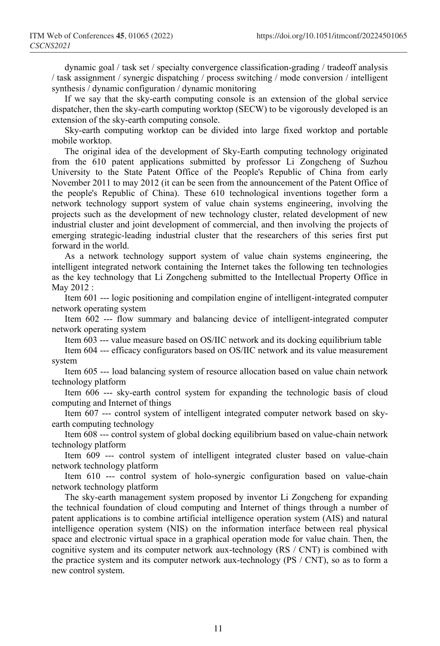dynamic goal / task set / specialty convergence classification-grading / tradeoff analysis / task assignment / synergic dispatching / process switching / mode conversion / intelligent synthesis / dynamic configuration / dynamic monitoring

If we say that the sky-earth computing console is an extension of the global service dispatcher, then the sky-earth computing worktop (SECW) to be vigorously developed is an extension of the sky-earth computing console.

Sky-earth computing worktop can be divided into large fixed worktop and portable mobile worktop.

The original idea of the development of Sky-Earth computing technology originated from the 610 patent applications submitted by professor Li Zongcheng of Suzhou University to the State Patent Office of the People's Republic of China from early November 2011 to may 2012 (it can be seen from the announcement of the Patent Office of the people's Republic of China). These 610 technological inventions together form a network technology support system of value chain systems engineering, involving the projects such as the development of new technology cluster, related development of new industrial cluster and joint development of commercial, and then involving the projects of emerging strategic-leading industrial cluster that the researchers of this series first put forward in the world.

As a network technology support system of value chain systems engineering, the intelligent integrated network containing the Internet takes the following ten technologies as the key technology that Li Zongcheng submitted to the Intellectual Property Office in May 2012 :

Item 601 --- logic positioning and compilation engine of intelligent-integrated computer network operating system

Item 602 --- flow summary and balancing device of intelligent-integrated computer network operating system

Item 603 --- value measure based on OS/IIC network and its docking equilibrium table

Item 604 --- efficacy configurators based on OS/IIC network and its value measurement system

Item 605 --- load balancing system of resource allocation based on value chain network technology platform

Item 606 --- sky-earth control system for expanding the technologic basis of cloud computing and Internet of things

Item 607 --- control system of intelligent integrated computer network based on skyearth computing technology

Item 608 --- control system of global docking equilibrium based on value-chain network technology platform

Item 609 --- control system of intelligent integrated cluster based on value-chain network technology platform

Item 610 --- control system of holo-synergic configuration based on value-chain network technology platform

The sky-earth management system proposed by inventor Li Zongcheng for expanding the technical foundation of cloud computing and Internet of things through a number of patent applications is to combine artificial intelligence operation system (AIS) and natural intelligence operation system (NIS) on the information interface between real physical space and electronic virtual space in a graphical operation mode for value chain. Then, the cognitive system and its computer network aux-technology (RS / CNT) is combined with the practice system and its computer network aux-technology (PS / CNT), so as to form a new control system.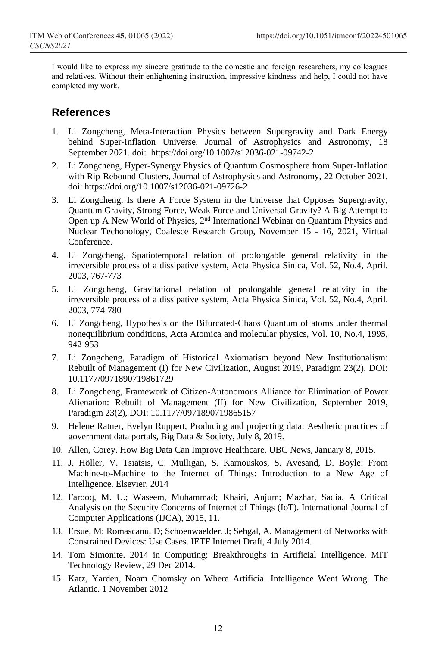I would like to express my sincere gratitude to the domestic and foreign researchers, my colleagues and relatives. Without their enlightening instruction, impressive kindness and help, I could not have completed my work.

#### **References**

- 1. Li Zongcheng, Meta-Interaction Physics between Supergravity and Dark Energy behind Super-Inflation Universe, Journal of Astrophysics and Astronomy, 18 September 2021. doi: https://doi.org/10.1007/s12036-021-09742-2
- 2. Li Zongcheng, Hyper-Synergy Physics of Quantum Cosmosphere from Super-Inflation with Rip-Rebound Clusters, Journal of Astrophysics and Astronomy, 22 October 2021. doi: https://doi.org/10.1007/s12036-021-09726-2
- 3. Li Zongcheng, Is there A Force System in the Universe that Opposes Supergravity, Quantum Gravity, Strong Force, Weak Force and Universal Gravity? A Big Attempt to Open up A New World of Physics, 2nd International Webinar on Quantum Physics and Nuclear Techonology, Coalesce Research Group, November 15 - 16, 2021, Virtual **Conference**
- 4. Li Zongcheng, Spatiotemporal relation of prolongable general relativity in the irreversible process of a dissipative system, Acta Physica Sinica, Vol. 52, No.4, April. 2003, 767-773
- 5. Li Zongcheng, Gravitational relation of prolongable general relativity in the irreversible process of a dissipative system, Acta Physica Sinica, Vol. 52, No.4, April. 2003, 774-780
- 6. Li Zongcheng, Hypothesis on the Bifurcated-Chaos Quantum of atoms under thermal nonequilibrium conditions, Acta Atomica and molecular physics, Vol. 10, No.4, 1995, 942-953
- 7. Li Zongcheng, Paradigm of Historical Axiomatism beyond New Institutionalism: Rebuilt of Management (I) for New Civilization, August 2019, Paradigm 23(2), DOI: 10.1177/0971890719861729
- 8. Li Zongcheng, Framework of Citizen-Autonomous Alliance for Elimination of Power Alienation: Rebuilt of Management (II) for New Civilization, September 2019, Paradigm 23(2), DOI: 10.1177/0971890719865157
- 9. Helene Ratner, Evelyn Ruppert, Producing and projecting data: Aesthetic practices of government data portals, Big Data & Society, July 8, 2019.
- 10. Allen, Corey. How Big Data Can Improve Healthcare. UBC News, January 8, 2015.
- 11. J. Höller, V. Tsiatsis, C. Mulligan, S. Karnouskos, S. Avesand, D. Boyle: From Machine-to-Machine to the Internet of Things: Introduction to a New Age of Intelligence. Elsevier, 2014
- 12. Farooq, M. U.; Waseem, Muhammad; Khairi, Anjum; Mazhar, Sadia. A Critical Analysis on the Security Concerns of Internet of Things (IoT). International Journal of Computer Applications (IJCA), 2015, 11.
- 13. Ersue, M; Romascanu, D; Schoenwaelder, J; Sehgal, A. Management of Networks with Constrained Devices: Use Cases. IETF Internet Draft, 4 July 2014.
- 14. Tom Simonite. 2014 in Computing: Breakthroughs in Artificial Intelligence. MIT Technology Review, 29 Dec 2014.
- 15. Katz, Yarden, Noam Chomsky on Where Artificial Intelligence Went Wrong. The Atlantic. 1 November 2012